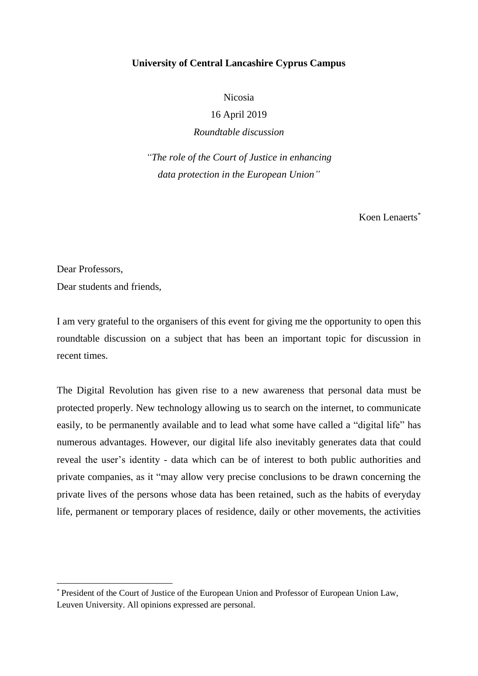## **University of Central Lancashire Cyprus Campus**

Nicosia

16 April 2019

*Roundtable discussion* 

*"The role of the Court of Justice in enhancing data protection in the European Union"*

 $K$ oen Lenaerts<sup>\*</sup>

Dear Professors,

 $\overline{a}$ 

Dear students and friends,

I am very grateful to the organisers of this event for giving me the opportunity to open this roundtable discussion on a subject that has been an important topic for discussion in recent times.

The Digital Revolution has given rise to a new awareness that personal data must be protected properly. New technology allowing us to search on the internet, to communicate easily, to be permanently available and to lead what some have called a "digital life" has numerous advantages. However, our digital life also inevitably generates data that could reveal the user's identity - data which can be of interest to both public authorities and private companies, as it "may allow very precise conclusions to be drawn concerning the private lives of the persons whose data has been retained, such as the habits of everyday life, permanent or temporary places of residence, daily or other movements, the activities

<sup>\*</sup> President of the Court of Justice of the European Union and Professor of European Union Law, Leuven University. All opinions expressed are personal.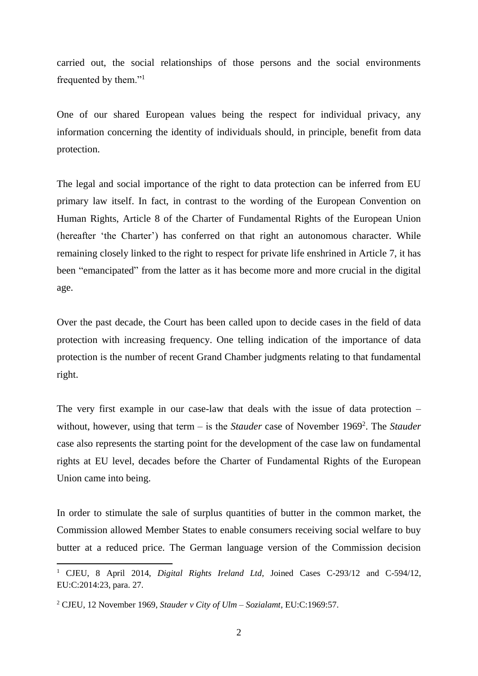carried out, the social relationships of those persons and the social environments frequented by them."<sup>1</sup>

One of our shared European values being the respect for individual privacy, any information concerning the identity of individuals should, in principle, benefit from data protection.

The legal and social importance of the right to data protection can be inferred from EU primary law itself. In fact, in contrast to the wording of the European Convention on Human Rights, Article 8 of the Charter of Fundamental Rights of the European Union (hereafter 'the Charter') has conferred on that right an autonomous character. While remaining closely linked to the right to respect for private life enshrined in Article 7, it has been "emancipated" from the latter as it has become more and more crucial in the digital age.

Over the past decade, the Court has been called upon to decide cases in the field of data protection with increasing frequency. One telling indication of the importance of data protection is the number of recent Grand Chamber judgments relating to that fundamental right.

The very first example in our case-law that deals with the issue of data protection  $$ without, however, using that term – is the *Stauder* case of November 1969<sup>2</sup>. The *Stauder* case also represents the starting point for the development of the case law on fundamental rights at EU level, decades before the Charter of Fundamental Rights of the European Union came into being.

In order to stimulate the sale of surplus quantities of butter in the common market, the Commission allowed Member States to enable consumers receiving social welfare to buy butter at a reduced price. The German language version of the Commission decision

<sup>1</sup> CJEU, 8 April 2014, *Digital Rights Ireland Ltd*, Joined Cases C-293/12 and C-594/12, EU:C:2014:23, para. 27.

<sup>2</sup> CJEU, 12 November 1969, *Stauder v City of Ulm – Sozialamt*, EU:C:1969:57.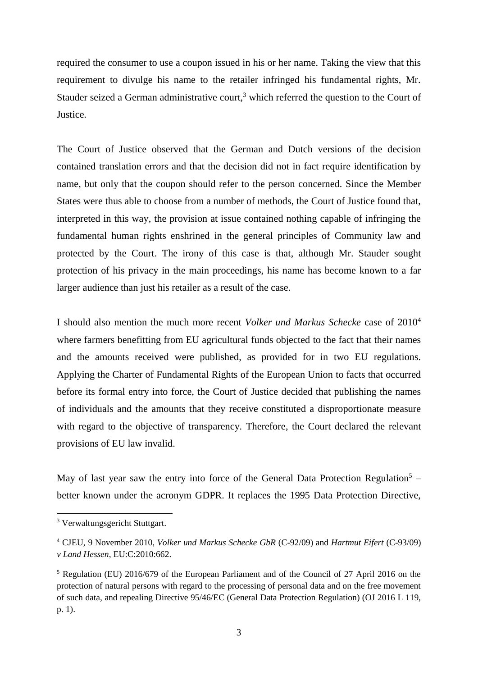required the consumer to use a coupon issued in his or her name. Taking the view that this requirement to divulge his name to the retailer infringed his fundamental rights, Mr. Stauder seized a German administrative court,<sup>3</sup> which referred the question to the Court of Justice.

The Court of Justice observed that the German and Dutch versions of the decision contained translation errors and that the decision did not in fact require identification by name, but only that the coupon should refer to the person concerned. Since the Member States were thus able to choose from a number of methods, the Court of Justice found that, interpreted in this way, the provision at issue contained nothing capable of infringing the fundamental human rights enshrined in the general principles of Community law and protected by the Court. The irony of this case is that, although Mr. Stauder sought protection of his privacy in the main proceedings, his name has become known to a far larger audience than just his retailer as a result of the case.

I should also mention the much more recent *Volker und Markus Schecke* case of 2010<sup>4</sup> where farmers benefitting from EU agricultural funds objected to the fact that their names and the amounts received were published, as provided for in two EU regulations. Applying the Charter of Fundamental Rights of the European Union to facts that occurred before its formal entry into force, the Court of Justice decided that publishing the names of individuals and the amounts that they receive constituted a disproportionate measure with regard to the objective of transparency. Therefore, the Court declared the relevant provisions of EU law invalid.

May of last year saw the entry into force of the General Data Protection Regulation<sup>5</sup> – better known under the acronym GDPR. It replaces the 1995 Data Protection Directive,

<sup>3</sup> Verwaltungsgericht Stuttgart.

<sup>4</sup> CJEU, 9 November 2010, *Volker und Markus Schecke GbR* (C-92/09) and *Hartmut Eifert* (C-93/09) *v Land Hessen*, EU:C:2010:662.

<sup>5</sup> Regulation (EU) 2016/679 of the European Parliament and of the Council of 27 April 2016 on the protection of natural persons with regard to the processing of personal data and on the free movement of such data, and repealing Directive 95/46/EC (General Data Protection Regulation) (OJ 2016 L 119, p. 1).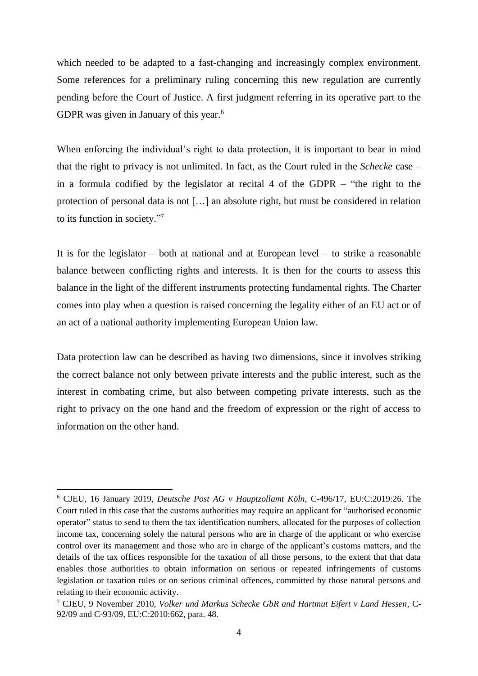which needed to be adapted to a fast-changing and increasingly complex environment. Some references for a preliminary ruling concerning this new regulation are currently pending before the Court of Justice. A first judgment referring in its operative part to the GDPR was given in January of this year.<sup>6</sup>

When enforcing the individual's right to data protection, it is important to bear in mind that the right to privacy is not unlimited. In fact, as the Court ruled in the *Schecke* case – in a formula codified by the legislator at recital 4 of the GDPR – "the right to the protection of personal data is not […] an absolute right, but must be considered in relation to its function in society."7

It is for the legislator – both at national and at European level – to strike a reasonable balance between conflicting rights and interests. It is then for the courts to assess this balance in the light of the different instruments protecting fundamental rights. The Charter comes into play when a question is raised concerning the legality either of an EU act or of an act of a national authority implementing European Union law.

Data protection law can be described as having two dimensions, since it involves striking the correct balance not only between private interests and the public interest, such as the interest in combating crime, but also between competing private interests, such as the right to privacy on the one hand and the freedom of expression or the right of access to information on the other hand.

<sup>6</sup> CJEU, 16 January 2019, *Deutsche Post AG v Hauptzollamt Köln*, C-496/17, EU:C:2019:26. The Court ruled in this case that the customs authorities may require an applicant for "authorised economic operator" status to send to them the tax identification numbers, allocated for the purposes of collection income tax, concerning solely the natural persons who are in charge of the applicant or who exercise control over its management and those who are in charge of the applicant's customs matters, and the details of the tax offices responsible for the taxation of all those persons, to the extent that that data enables those authorities to obtain information on serious or repeated infringements of customs legislation or taxation rules or on serious criminal offences, committed by those natural persons and relating to their economic activity.

<sup>7</sup> CJEU, 9 November 2010, *Volker und Markus Schecke GbR and Hartmut Eifert v Land Hessen*, C-92/09 and C-93/09, EU:C:2010:662, para. 48.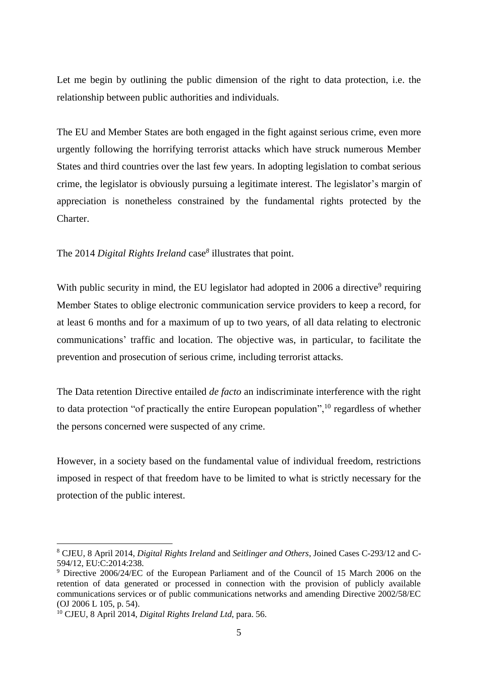Let me begin by outlining the public dimension of the right to data protection, i.e. the relationship between public authorities and individuals.

The EU and Member States are both engaged in the fight against serious crime, even more urgently following the horrifying terrorist attacks which have struck numerous Member States and third countries over the last few years. In adopting legislation to combat serious crime, the legislator is obviously pursuing a legitimate interest. The legislator's margin of appreciation is nonetheless constrained by the fundamental rights protected by the Charter.

The 2014 *Digital Rights Ireland* case*<sup>8</sup>* illustrates that point.

With public security in mind, the EU legislator had adopted in 2006 a directive<sup>9</sup> requiring Member States to oblige electronic communication service providers to keep a record, for at least 6 months and for a maximum of up to two years, of all data relating to electronic communications' traffic and location. The objective was, in particular, to facilitate the prevention and prosecution of serious crime, including terrorist attacks.

The Data retention Directive entailed *de facto* an indiscriminate interference with the right to data protection "of practically the entire European population",  $10$  regardless of whether the persons concerned were suspected of any crime.

However, in a society based on the fundamental value of individual freedom, restrictions imposed in respect of that freedom have to be limited to what is strictly necessary for the protection of the public interest.

<sup>8</sup> CJEU, 8 April 2014, *Digital Rights Ireland* and *Seitlinger and Others*, Joined Cases C-293/12 and C-594/12, EU:C:2014:238.

<sup>9</sup> Directive 2006/24/EC of the European Parliament and of the Council of 15 March 2006 on the retention of data generated or processed in connection with the provision of publicly available communications services or of public communications networks and amending Directive 2002/58/EC (OJ 2006 L 105, p. 54).

<sup>10</sup> CJEU, 8 April 2014, *Digital Rights Ireland Ltd*, para. 56.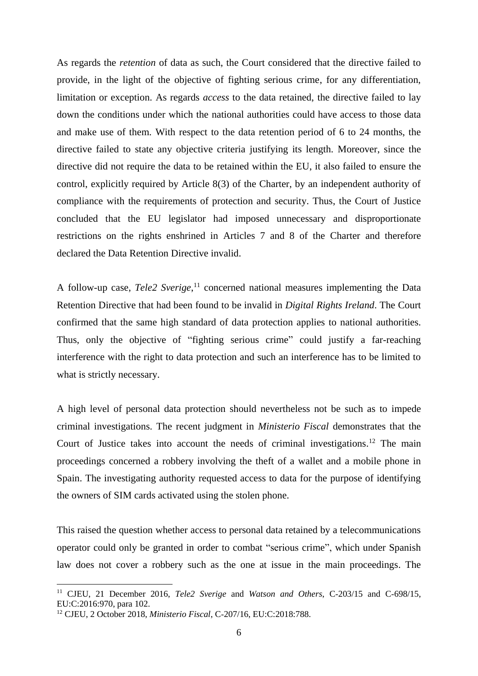As regards the *retention* of data as such, the Court considered that the directive failed to provide, in the light of the objective of fighting serious crime, for any differentiation, limitation or exception. As regards *access* to the data retained, the directive failed to lay down the conditions under which the national authorities could have access to those data and make use of them. With respect to the data retention period of 6 to 24 months, the directive failed to state any objective criteria justifying its length. Moreover, since the directive did not require the data to be retained within the EU, it also failed to ensure the control, explicitly required by Article 8(3) of the Charter, by an independent authority of compliance with the requirements of protection and security. Thus, the Court of Justice concluded that the EU legislator had imposed unnecessary and disproportionate restrictions on the rights enshrined in Articles 7 and 8 of the Charter and therefore declared the Data Retention Directive invalid.

A follow-up case, *Tele2 Sverige*, <sup>11</sup> concerned national measures implementing the Data Retention Directive that had been found to be invalid in *Digital Rights Ireland*. The Court confirmed that the same high standard of data protection applies to national authorities. Thus, only the objective of "fighting serious crime" could justify a far-reaching interference with the right to data protection and such an interference has to be limited to what is strictly necessary.

A high level of personal data protection should nevertheless not be such as to impede criminal investigations. The recent judgment in *Ministerio Fiscal* demonstrates that the Court of Justice takes into account the needs of criminal investigations. <sup>12</sup> The main proceedings concerned a robbery involving the theft of a wallet and a mobile phone in Spain. The investigating authority requested access to data for the purpose of identifying the owners of SIM cards activated using the stolen phone.

This raised the question whether access to personal data retained by a telecommunications operator could only be granted in order to combat "serious crime", which under Spanish law does not cover a robbery such as the one at issue in the main proceedings. The

 $\overline{a}$ 

<sup>11</sup> CJEU, 21 December 2016, *Tele2 Sverige* and *Watson and Others*, C‑203/15 and C‑698/15, EU:C:2016:970, para 102.

<sup>12</sup> CJEU, 2 October 2018, *Ministerio Fiscal*, C‑207/16, EU:C:2018:788.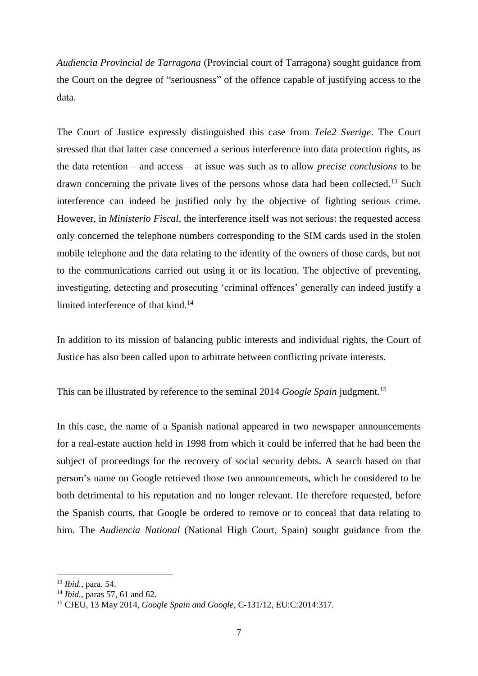*Audiencia Provincial de Tarragona* (Provincial court of Tarragona) sought guidance from the Court on the degree of "seriousness" of the offence capable of justifying access to the data.

The Court of Justice expressly distinguished this case from *Tele2 Sverige*. The Court stressed that that latter case concerned a serious interference into data protection rights, as the data retention – and access – at issue was such as to allow *precise conclusions* to be drawn concerning the private lives of the persons whose data had been collected.<sup>13</sup> Such interference can indeed be justified only by the objective of fighting serious crime. However, in *Ministerio Fiscal*, the interference itself was not serious: the requested access only concerned the telephone numbers corresponding to the SIM cards used in the stolen mobile telephone and the data relating to the identity of the owners of those cards, but not to the communications carried out using it or its location. The objective of preventing, investigating, detecting and prosecuting 'criminal offences' generally can indeed justify a limited interference of that kind.<sup>14</sup>

In addition to its mission of balancing public interests and individual rights, the Court of Justice has also been called upon to arbitrate between conflicting private interests.

This can be illustrated by reference to the seminal 2014 *Google Spain* judgment. 15

In this case, the name of a Spanish national appeared in two newspaper announcements for a real-estate auction held in 1998 from which it could be inferred that he had been the subject of proceedings for the recovery of social security debts. A search based on that person's name on Google retrieved those two announcements, which he considered to be both detrimental to his reputation and no longer relevant. He therefore requested, before the Spanish courts, that Google be ordered to remove or to conceal that data relating to him. The *Audiencia National* (National High Court, Spain) sought guidance from the

<sup>13</sup> *Ibid.*, para. 54.

<sup>14</sup> *Ibid.*, paras 57, 61 and 62.

<sup>15</sup> CJEU, 13 May 2014, *Google Spain and Google*, C‑131/12, EU:C:2014:317.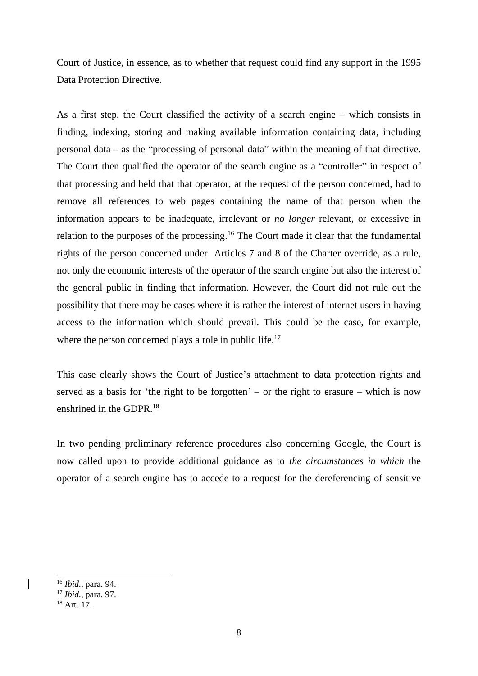Court of Justice, in essence, as to whether that request could find any support in the 1995 Data Protection Directive.

As a first step, the Court classified the activity of a search engine – which consists in finding, indexing, storing and making available information containing data, including personal data – as the "processing of personal data" within the meaning of that directive. The Court then qualified the operator of the search engine as a "controller" in respect of that processing and held that that operator, at the request of the person concerned, had to remove all references to web pages containing the name of that person when the information appears to be inadequate, irrelevant or *no longer* relevant, or excessive in relation to the purposes of the processing.<sup>16</sup> The Court made it clear that the fundamental rights of the person concerned under Articles 7 and 8 of the Charter override, as a rule, not only the economic interests of the operator of the search engine but also the interest of the general public in finding that information. However, the Court did not rule out the possibility that there may be cases where it is rather the interest of internet users in having access to the information which should prevail. This could be the case, for example, where the person concerned plays a role in public life.<sup>17</sup>

This case clearly shows the Court of Justice's attachment to data protection rights and served as a basis for 'the right to be forgotten' – or the right to erasure – which is now enshrined in the GDPR. 18

In two pending preliminary reference procedures also concerning Google, the Court is now called upon to provide additional guidance as to *the circumstances in which* the operator of a search engine has to accede to a request for the dereferencing of sensitive

<sup>16</sup> *Ibid.*, para. 94.

<sup>17</sup> *Ibid.*, para. 97.

<sup>18</sup> Art. 17.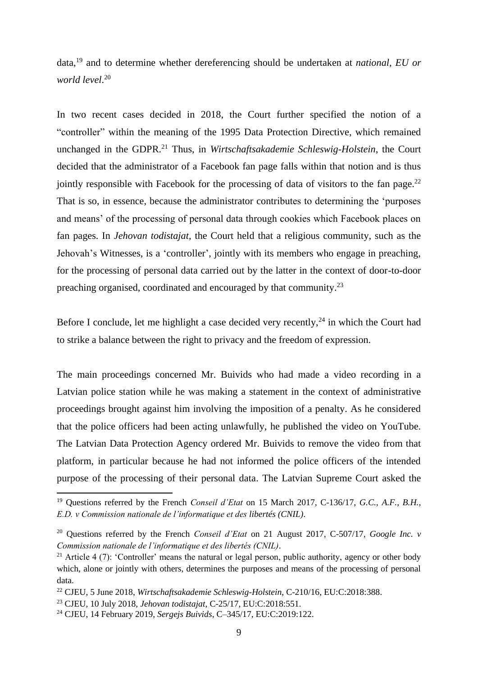data, <sup>19</sup> and to determine whether dereferencing should be undertaken at *national, EU or world level*. 20

In two recent cases decided in 2018, the Court further specified the notion of a "controller" within the meaning of the 1995 Data Protection Directive, which remained unchanged in the GDPR. <sup>21</sup> Thus, in *Wirtschaftsakademie Schleswig-Holstein*, the Court decided that the administrator of a Facebook fan page falls within that notion and is thus jointly responsible with Facebook for the processing of data of visitors to the fan page.<sup>22</sup> That is so, in essence, because the administrator contributes to determining the 'purposes and means' of the processing of personal data through cookies which Facebook places on fan pages. In *Jehovan todistajat*, the Court held that a religious community, such as the Jehovah's Witnesses, is a 'controller', jointly with its members who engage in preaching, for the processing of personal data carried out by the latter in the context of door-to-door preaching organised, coordinated and encouraged by that community.<sup>23</sup>

Before I conclude, let me highlight a case decided very recently,  $24$  in which the Court had to strike a balance between the right to privacy and the freedom of expression.

The main proceedings concerned Mr. Buivids who had made a video recording in a Latvian police station while he was making a statement in the context of administrative proceedings brought against him involving the imposition of a penalty. As he considered that the police officers had been acting unlawfully, he published the video on YouTube. The Latvian Data Protection Agency ordered Mr. Buivids to remove the video from that platform, in particular because he had not informed the police officers of the intended purpose of the processing of their personal data. The Latvian Supreme Court asked the

1

<sup>19</sup> Questions referred by the French *Conseil d'Etat* on 15 March 2017, C-136/17*, G.C., A.F., B.H., E.D. v Commission nationale de l'informatique et des libertés (CNIL)*.

<sup>20</sup> Questions referred by the French *Conseil d'Etat* on 21 August 2017, C-507/17, *Google Inc. v Commission nationale de l'informatique et des libertés (CNIL)*.

<sup>&</sup>lt;sup>21</sup> Article 4 (7): 'Controller' means the natural or legal person, public authority, agency or other body which, alone or jointly with others, determines the purposes and means of the processing of personal data.

<sup>22</sup> CJEU, 5 June 2018, *Wirtschaftsakademie Schleswig-Holstein*, C-210/16, EU:C:2018:388.

<sup>23</sup> CJEU, 10 July 2018, *Jehovan todistajat*, C-25/17, EU:C:2018:551.

<sup>24</sup> CJEU, 14 February 2019, *Sergejs Buivids*, C–345/17, EU:C:2019:122.